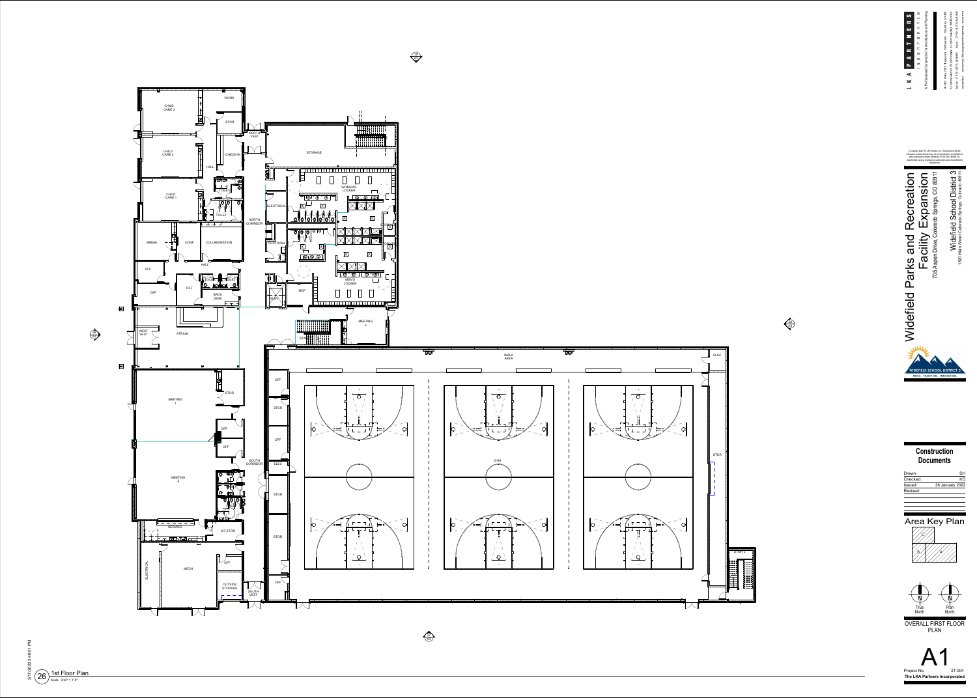<span id="page-0-0"></span>





29 A3







© Copyright 2022 The LKA Partners, Inc. This document and the information contained herein may not be reproduced or excerpted from without the express written permission of The LKA Partners, Inc. Unauthorized copying, disclosure or construction use are prohibited by copyright law.



**ConstructionDocuments**

| DН                     |
|------------------------|
| KΩ                     |
| <b>28 January 2022</b> |
|                        |
|                        |